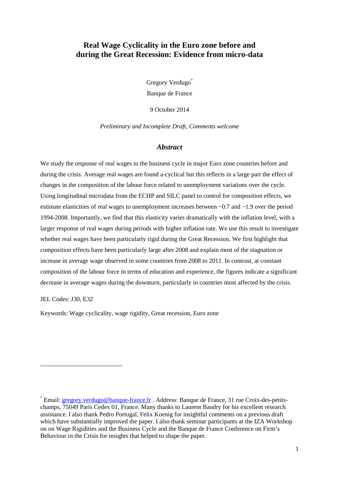## **Real Wage Cyclicality in the Euro zone before and during the Great Recession: Evidence from micro-data**

Gregory Verdugo\* Banque de France

9 October 2014

*Preliminary and Incomplete Draft, Comments welcome* 

#### *Abstract*

We study the response of real wages to the business cycle in major Euro zone countries before and during the crisis. Average real wages are found a-cyclical but this reflects in a large part the effect of changes in the composition of the labour force related to unemployment variations over the cycle. Using longitudinal microdata from the ECHP and SILC panel to control for composition effects, we estimate elasticities of real wages to unemployment increases between −0.7 and −1.9 over the period 1994-2008. Importantly, we find that this elasticity varies dramatically with the inflation level, with a larger response of real wages during periods with higher inflation rate. We use this result to investigate whether real wages have been particularly rigid during the Great Recession. We first highlight that composition effects have been particularly large after 2008 and explain most of the stagnation or increase in average wage observed in some countries from 2008 to 2011. In contrast, at constant composition of the labour force in terms of education and experience, the figures indicate a significant decrease in average wages during the downturn, particularly in countries most affected by the crisis.

JEL Codes: J30, E32

 $\overline{a}$ 

Keywords: Wage cyclicality, wage rigidity, Great recession, Euro zone

<sup>\*</sup> Email: **gregory.verdugo@banque-france.fr** . Address: Banque de France, 31 rue Croix-des-petitschamps, 75049 Paris Cedex 01, France. Many thanks to Laurent Baudry for his excellent research assistance. I also thank Pedro Portugal, Felix Koenig for insightful comments on a previous draft which have substantially improved the paper. I also thank seminar participants at the IZA Workshop on on Wage Rigidities and the Business Cycle and the Banque de France Conference on Firm's Behaviour in the Crisis for insights that helped to shape the paper.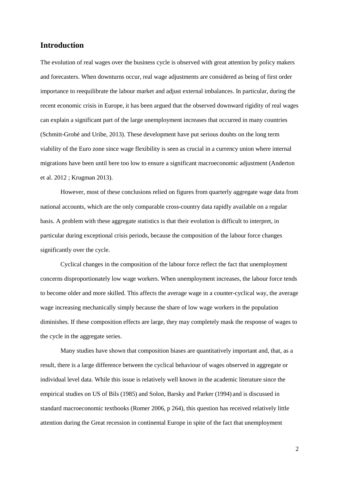## **Introduction**

The evolution of real wages over the business cycle is observed with great attention by policy makers and forecasters. When downturns occur, real wage adjustments are considered as being of first order importance to reequilibrate the labour market and adjust external imbalances. In particular, during the recent economic crisis in Europe, it has been argued that the observed downward rigidity of real wages can explain a significant part of the large unemployment increases that occurred in many countries (Schmitt-Grohé and Uribe, 2013). These development have put serious doubts on the long term viability of the Euro zone since wage flexibility is seen as crucial in a currency union where internal migrations have been until here too low to ensure a significant macroeconomic adjustment (Anderton et al. 2012 ; Krugman 2013).

However, most of these conclusions relied on figures from quarterly aggregate wage data from national accounts, which are the only comparable cross-country data rapidly available on a regular basis. A problem with these aggregate statistics is that their evolution is difficult to interpret, in particular during exceptional crisis periods, because the composition of the labour force changes significantly over the cycle.

Cyclical changes in the composition of the labour force reflect the fact that unemployment concerns disproportionately low wage workers. When unemployment increases, the labour force tends to become older and more skilled. This affects the average wage in a counter-cyclical way, the average wage increasing mechanically simply because the share of low wage workers in the population diminishes. If these composition effects are large, they may completely mask the response of wages to the cycle in the aggregate series.

Many studies have shown that composition biases are quantitatively important and, that, as a result, there is a large difference between the cyclical behaviour of wages observed in aggregate or individual level data. While this issue is relatively well known in the academic literature since the empirical studies on US of Bils (1985) and Solon, Barsky and Parker (1994) and is discussed in standard macroeconomic textbooks (Romer 2006, p 264), this question has received relatively little attention during the Great recession in continental Europe in spite of the fact that unemployment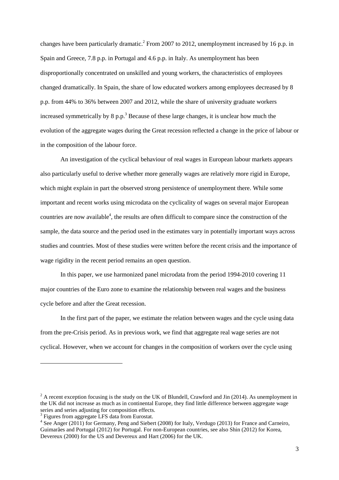changes have been particularly dramatic.<sup>2</sup> From 2007 to 2012, unemployment increased by 16 p.p. in Spain and Greece, 7.8 p.p. in Portugal and 4.6 p.p. in Italy. As unemployment has been disproportionally concentrated on unskilled and young workers, the characteristics of employees changed dramatically. In Spain, the share of low educated workers among employees decreased by 8 p.p. from 44% to 36% between 2007 and 2012, while the share of university graduate workers increased symmetrically by  $8 p.p.^3$  Because of these large changes, it is unclear how much the evolution of the aggregate wages during the Great recession reflected a change in the price of labour or in the composition of the labour force.

An investigation of the cyclical behaviour of real wages in European labour markets appears also particularly useful to derive whether more generally wages are relatively more rigid in Europe, which might explain in part the observed strong persistence of unemployment there. While some important and recent works using microdata on the cyclicality of wages on several major European countries are now available<sup>4</sup>, the results are often difficult to compare since the construction of the sample, the data source and the period used in the estimates vary in potentially important ways across studies and countries. Most of these studies were written before the recent crisis and the importance of wage rigidity in the recent period remains an open question.

In this paper, we use harmonized panel microdata from the period 1994-2010 covering 11 major countries of the Euro zone to examine the relationship between real wages and the business cycle before and after the Great recession.

In the first part of the paper, we estimate the relation between wages and the cycle using data from the pre-Crisis period. As in previous work, we find that aggregate real wage series are not cyclical. However, when we account for changes in the composition of workers over the cycle using

 $2^2$  A recent exception focusing is the study on the UK of Blundell, Crawford and Jin (2014). As unemployment in the UK did not increase as much as in continental Europe, they find little difference between aggregate wage series and series adjusting for composition effects.

<sup>&</sup>lt;sup>3</sup> Figures from aggregate LFS data from Eurostat.

<sup>&</sup>lt;sup>4</sup> See Anger (2011) for Germany, Peng and Siebert (2008) for Italy, Verdugo (2013) for France and Carneiro, Guimarães and Portugal (2012) for Portugal. For non-European countries, see also Shin (2012) for Korea, Devereux (2000) for the US and Devereux and Hart (2006) for the UK.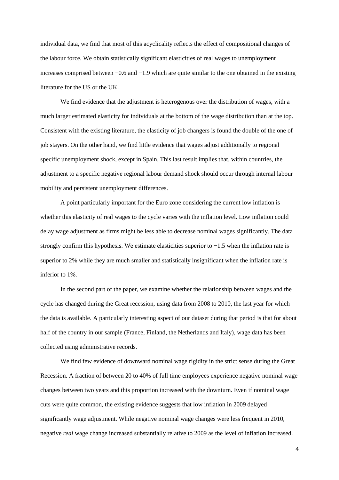individual data, we find that most of this acyclicality reflects the effect of compositional changes of the labour force. We obtain statistically significant elasticities of real wages to unemployment increases comprised between −0.6 and −1.9 which are quite similar to the one obtained in the existing literature for the US or the UK.

We find evidence that the adjustment is heterogenous over the distribution of wages, with a much larger estimated elasticity for individuals at the bottom of the wage distribution than at the top. Consistent with the existing literature, the elasticity of job changers is found the double of the one of job stayers. On the other hand, we find little evidence that wages adjust additionally to regional specific unemployment shock, except in Spain. This last result implies that, within countries, the adjustment to a specific negative regional labour demand shock should occur through internal labour mobility and persistent unemployment differences.

A point particularly important for the Euro zone considering the current low inflation is whether this elasticity of real wages to the cycle varies with the inflation level. Low inflation could delay wage adjustment as firms might be less able to decrease nominal wages significantly. The data strongly confirm this hypothesis. We estimate elasticities superior to −1.5 when the inflation rate is superior to 2% while they are much smaller and statistically insignificant when the inflation rate is inferior to 1%.

In the second part of the paper, we examine whether the relationship between wages and the cycle has changed during the Great recession, using data from 2008 to 2010, the last year for which the data is available. A particularly interesting aspect of our dataset during that period is that for about half of the country in our sample (France, Finland, the Netherlands and Italy), wage data has been collected using administrative records.

We find few evidence of downward nominal wage rigidity in the strict sense during the Great Recession. A fraction of between 20 to 40% of full time employees experience negative nominal wage changes between two years and this proportion increased with the downturn. Even if nominal wage cuts were quite common, the existing evidence suggests that low inflation in 2009 delayed significantly wage adjustment. While negative nominal wage changes were less frequent in 2010, negative *real* wage change increased substantially relative to 2009 as the level of inflation increased.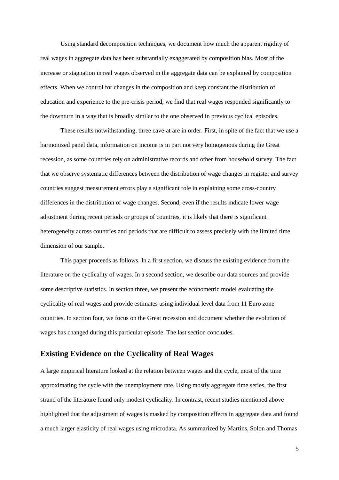Using standard decomposition techniques, we document how much the apparent rigidity of real wages in aggregate data has been substantially exaggerated by composition bias. Most of the increase or stagnation in real wages observed in the aggregate data can be explained by composition effects. When we control for changes in the composition and keep constant the distribution of education and experience to the pre-crisis period, we find that real wages responded significantly to the downturn in a way that is broadly similar to the one observed in previous cyclical episodes.

These results notwithstanding, three cave-at are in order. First, in spite of the fact that we use a harmonized panel data, information on income is in part not very homogenous during the Great recession, as some countries rely on administrative records and other from household survey. The fact that we observe systematic differences between the distribution of wage changes in register and survey countries suggest measurement errors play a significant role in explaining some cross-country differences in the distribution of wage changes. Second, even if the results indicate lower wage adjustment during recent periods or groups of countries, it is likely that there is significant heterogeneity across countries and periods that are difficult to assess precisely with the limited time dimension of our sample.

This paper proceeds as follows. In a first section, we discuss the existing evidence from the literature on the cyclicality of wages. In a second section, we describe our data sources and provide some descriptive statistics. In section three, we present the econometric model evaluating the cyclicality of real wages and provide estimates using individual level data from 11 Euro zone countries. In section four, we focus on the Great recession and document whether the evolution of wages has changed during this particular episode. The last section concludes.

## **Existing Evidence on the Cyclicality of Real Wages**

A large empirical literature looked at the relation between wages and the cycle, most of the time approximating the cycle with the unemployment rate. Using mostly aggregate time series, the first strand of the literature found only modest cyclicality. In contrast, recent studies mentioned above highlighted that the adjustment of wages is masked by composition effects in aggregate data and found a much larger elasticity of real wages using microdata. As summarized by Martins, Solon and Thomas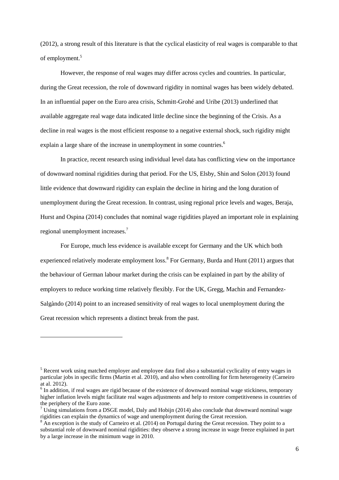(2012), a strong result of this literature is that the cyclical elasticity of real wages is comparable to that of employment.<sup>5</sup>

However, the response of real wages may differ across cycles and countries. In particular, during the Great recession, the role of downward rigidity in nominal wages has been widely debated. In an influential paper on the Euro area crisis, Schmitt-Grohé and Uribe (2013) underlined that available aggregate real wage data indicated little decline since the beginning of the Crisis. As a decline in real wages is the most efficient response to a negative external shock, such rigidity might explain a large share of the increase in unemployment in some countries.<sup>6</sup>

In practice, recent research using individual level data has conflicting view on the importance of downward nominal rigidities during that period. For the US, Elsby, Shin and Solon (2013) found little evidence that downward rigidity can explain the decline in hiring and the long duration of unemployment during the Great recession. In contrast, using regional price levels and wages, Beraja, Hurst and Ospina (2014) concludes that nominal wage rigidities played an important role in explaining regional unemployment increases.<sup>7</sup>

For Europe, much less evidence is available except for Germany and the UK which both experienced relatively moderate employment loss.<sup>8</sup> For Germany, Burda and Hunt (2011) argues that the behaviour of German labour market during the crisis can be explained in part by the ability of employers to reduce working time relatively flexibly. For the UK, Gregg, Machin and Fernandez-Salgàndo (2014) point to an increased sensitivity of real wages to local unemployment during the Great recession which represents a distinct break from the past.

<sup>&</sup>lt;sup>5</sup> Recent work using matched employer and employee data find also a substantial cyclicality of entry wages in particular jobs in specific firms (Martin et al. 2010), and also when controlling for firm heterogeneity (Carneiro at al. 2012).

<sup>&</sup>lt;sup>6</sup> In addition, if real wages are rigid because of the existence of downward nominal wage stickiness, temporary higher inflation levels might facilitate real wages adjustments and help to restore competitiveness in countries of the periphery of the Euro zone.

 $7 \text{ Using simulations from a DSGE model, Daly and Hobijn (2014) also conclude that downward nominal wage}$ rigidities can explain the dynamics of wage and unemployment during the Great recession.

 $8$  An exception is the study of Carneiro et al. (2014) on Portugal during the Great recession. They point to a substantial role of downward nominal rigidities: they observe a strong increase in wage freeze explained in part by a large increase in the minimum wage in 2010.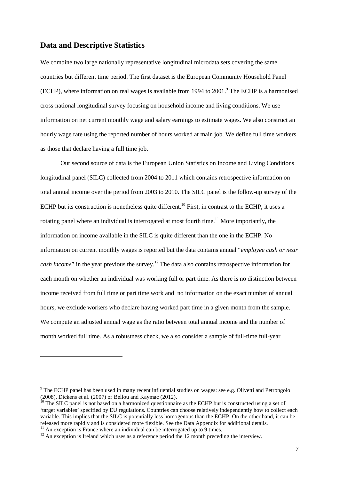## **Data and Descriptive Statistics**

We combine two large nationally representative longitudinal microdata sets covering the same countries but different time period. The first dataset is the European Community Household Panel (ECHP), where information on real wages is available from 1994 to 2001.<sup>9</sup> The ECHP is a harmonised cross-national longitudinal survey focusing on household income and living conditions. We use information on net current monthly wage and salary earnings to estimate wages. We also construct an hourly wage rate using the reported number of hours worked at main job. We define full time workers as those that declare having a full time job.

Our second source of data is the European Union Statistics on Income and Living Conditions longitudinal panel (SILC) collected from 2004 to 2011 which contains retrospective information on total annual income over the period from 2003 to 2010. The SILC panel is the follow-up survey of the ECHP but its construction is nonetheless quite different.<sup>10</sup> First, in contrast to the ECHP, it uses a rotating panel where an individual is interrogated at most fourth time.<sup>11</sup> More importantly, the information on income available in the SILC is quite different than the one in the ECHP. No information on current monthly wages is reported but the data contains annual "*employee cash or near cash income*" in the year previous the survey.<sup>12</sup> The data also contains retrospective information for each month on whether an individual was working full or part time. As there is no distinction between income received from full time or part time work and no information on the exact number of annual hours, we exclude workers who declare having worked part time in a given month from the sample. We compute an adjusted annual wage as the ratio between total annual income and the number of month worked full time. As a robustness check, we also consider a sample of full-time full-year

<sup>&</sup>lt;sup>9</sup> The ECHP panel has been used in many recent influential studies on wages: see e.g. Olivetti and Petrongolo (2008), Dickens et al. (2007) or Bellou and Kaymac (2012).

<sup>&</sup>lt;sup>10</sup> The SILC panel is not based on a harmonized questionnaire as the ECHP but is constructed using a set of 'target variables' specified by EU regulations. Countries can choose relatively independently how to collect each variable. This implies that the SILC is potentially less homogenous than the ECHP. On the other hand, it can be released more rapidly and is considered more flexible. See the Data Appendix for additional details.

 $11$  An exception is France where an individual can be interrogated up to 9 times.

 $12$  An exception is Ireland which uses as a reference period the 12 month preceding the interview.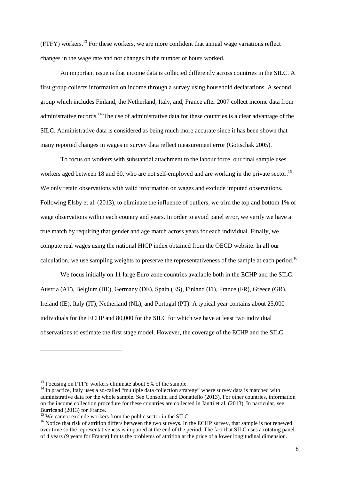(FTFY) workers.<sup>13</sup> For these workers, we are more confident that annual wage variations reflect changes in the wage rate and not changes in the number of hours worked.

An important issue is that income data is collected differently across countries in the SILC. A first group collects information on income through a survey using household declarations. A second group which includes Finland, the Netherland, Italy, and, France after 2007 collect income data from administrative records.<sup>14</sup> The use of administrative data for these countries is a clear advantage of the SILC. Administrative data is considered as being much more accurate since it has been shown that many reported changes in wages in survey data reflect measurement error (Gottschak 2005).

To focus on workers with substantial attachment to the labour force, our final sample uses workers aged between 18 and 60, who are not self-employed and are working in the private sector.<sup>15</sup> We only retain observations with valid information on wages and exclude imputed observations. Following Elsby et al. (2013), to eliminate the influence of outliers, we trim the top and bottom 1% of wage observations within each country and years. In order to avoid panel error, we verify we have a true match by requiring that gender and age match across years for each individual. Finally, we compute real wages using the national HICP index obtained from the OECD website. In all our calculation, we use sampling weights to preserve the representativeness of the sample at each period.<sup>16</sup>

We focus initially on 11 large Euro zone countries available both in the ECHP and the SILC: Austria (AT), Belgium (BE), Germany (DE), Spain (ES), Finland (FI), France (FR), Greece (GR), Ireland (IE), Italy (IT), Netherland (NL), and Portugal (PT). A typical year contains about 25,000 individuals for the ECHP and 80,000 for the SILC for which we have at least two individual observations to estimate the first stage model. However, the coverage of the ECHP and the SILC

<sup>&</sup>lt;sup>13</sup> Focusing on FTFY workers eliminate about 5% of the sample.

<sup>&</sup>lt;sup>14</sup> In practice, Italy uses a so-called "multiple data collection strategy" where survey data is matched with administrative data for the whole sample. See Consolini and Donatiello (2013). For other countries, information on the income collection procedure for these countries are collected in Jäntti et al. (2013). In particular, see Burricand (2013) for France.

<sup>&</sup>lt;sup>15</sup> We cannot exclude workers from the public sector in the SILC.

<sup>&</sup>lt;sup>16</sup> Notice that risk of attrition differs between the two surveys. In the ECHP survey, that sample is not renewed over time so the representativeness is impaired at the end of the period. The fact that SILC uses a rotating panel of 4 years (9 years for France) limits the problems of attrition at the price of a lower longitudinal dimension.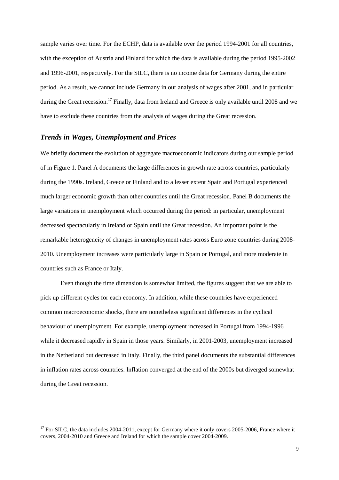sample varies over time. For the ECHP, data is available over the period 1994-2001 for all countries, with the exception of Austria and Finland for which the data is available during the period 1995-2002 and 1996-2001, respectively. For the SILC, there is no income data for Germany during the entire period. As a result, we cannot include Germany in our analysis of wages after 2001, and in particular during the Great recession.<sup>17</sup> Finally, data from Ireland and Greece is only available until 2008 and we have to exclude these countries from the analysis of wages during the Great recession.

#### *Trends in Wages, Unemployment and Prices*

We briefly document the evolution of aggregate macroeconomic indicators during our sample period of in Figure 1. Panel A documents the large differences in growth rate across countries, particularly during the 1990s. Ireland, Greece or Finland and to a lesser extent Spain and Portugal experienced much larger economic growth than other countries until the Great recession. Panel B documents the large variations in unemployment which occurred during the period: in particular, unemployment decreased spectacularly in Ireland or Spain until the Great recession. An important point is the remarkable heterogeneity of changes in unemployment rates across Euro zone countries during 2008- 2010. Unemployment increases were particularly large in Spain or Portugal, and more moderate in countries such as France or Italy.

Even though the time dimension is somewhat limited, the figures suggest that we are able to pick up different cycles for each economy. In addition, while these countries have experienced common macroeconomic shocks, there are nonetheless significant differences in the cyclical behaviour of unemployment. For example, unemployment increased in Portugal from 1994-1996 while it decreased rapidly in Spain in those years. Similarly, in 2001-2003, unemployment increased in the Netherland but decreased in Italy. Finally, the third panel documents the substantial differences in inflation rates across countries. Inflation converged at the end of the 2000s but diverged somewhat during the Great recession.

<sup>&</sup>lt;sup>17</sup> For SILC, the data includes 2004-2011, except for Germany where it only covers 2005-2006, France where it covers, 2004-2010 and Greece and Ireland for which the sample cover 2004-2009.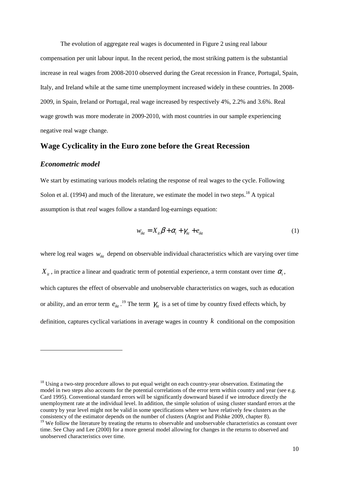The evolution of aggregate real wages is documented in Figure 2 using real labour compensation per unit labour input. In the recent period, the most striking pattern is the substantial increase in real wages from 2008-2010 observed during the Great recession in France, Portugal, Spain, Italy, and Ireland while at the same time unemployment increased widely in these countries. In 2008- 2009, in Spain, Ireland or Portugal, real wage increased by respectively 4%, 2.2% and 3.6%. Real wage growth was more moderate in 2009-2010, with most countries in our sample experiencing negative real wage change.

#### **Wage Cyclicality in the Euro zone before the Great Recession**

#### *Econometric model*

 $\overline{a}$ 

We start by estimating various models relating the response of real wages to the cycle. Following Solon et al. (1994) and much of the literature, we estimate the model in two steps.<sup>18</sup> A typical assumption is that *real* wages follow a standard log-earnings equation:

$$
w_{ikt} = X_{it}\beta + \alpha_i + \gamma_{kt} + e_{ikt}
$$
 (1)

where log real wages  $w_{ik}$  depend on observable individual characteristics which are varying over time  $X_{it}$ , in practice a linear and quadratic term of potential experience, a term constant over time  $\alpha_i$ , which captures the effect of observable and unobservable characteristics on wages, such as education or ability, and an error term  $e_{ikt}$ .<sup>19</sup> The term  $\gamma_{kt}$  is a set of time by country fixed effects which, by definition, captures cyclical variations in average wages in country *k* conditional on the composition

 $18$  Using a two-step procedure allows to put equal weight on each country-year observation. Estimating the model in two steps also accounts for the potential correlations of the error term within country and year (see e.g. Card 1995). Conventional standard errors will be significantly downward biased if we introduce directly the unemployment rate at the individual level. In addition, the simple solution of using cluster standard errors at the country by year level might not be valid in some specifications where we have relatively few clusters as the consistency of the estimator depends on the number of clusters (Angrist and Pishke 2009, chapter 8).

 $19$  We follow the literature by treating the returns to observable and unobservable characteristics as constant over time. See Chay and Lee (2000) for a more general model allowing for changes in the returns to observed and unobserved characteristics over time.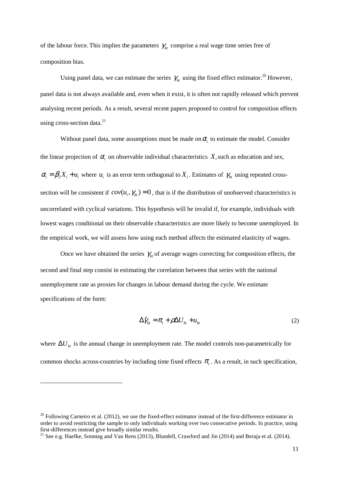of the labour force. This implies the parameters  $\gamma_k$  comprise a real wage time series free of composition bias.

Using panel data, we can estimate the series  $\gamma_k$  using the fixed effect estimator.<sup>20</sup> However, panel data is not always available and, even when it exist, it is often not rapidly released which prevent analysing recent periods. As a result, several recent papers proposed to control for composition effects using cross-section data.<sup>21</sup>

Without panel data, some assumptions must be made on  $\alpha$ <sub>i</sub> to estimate the model. Consider the linear projection of  $\alpha$ <sup>*i*</sup> on observable individual characteristics  $X_i$  such as education and sex,  $\alpha_i = \beta_2 X_i + u_i$  where  $u_i$  is an error term orthogonal to  $X_i$ . Estimates of  $\gamma_k$  using repeated crosssection will be consistent if  $cov(u_i, \gamma_k) = 0$ , that is if the distribution of unobserved characteristics is uncorrelated with cyclical variations. This hypothesis will be invalid if, for example, individuals with lowest wages conditional on their observable characteristics are more likely to become unemployed. In the empirical work, we will assess how using each method affects the estimated elasticity of wages.

Once we have obtained the series  $\gamma_{kt}$  of average wages correcting for composition effects, the second and final step consist in estimating the correlation between that series with the national unemployment rate as proxies for changes in labour demand during the cycle. We estimate specifications of the form:

$$
\Delta \hat{\gamma}_{kt} = \pi_t + \rho \Delta U_{kt} + u_{kt} \tag{2}
$$

where  $\Delta U_{kt}$  is the annual change in unemployment rate. The model controls non-parametrically for common shocks across-countries by including time fixed effects  $\pi$ <sub>t</sub>. As a result, in such specification,

 $^{20}$  Following Carneiro et al. (2012), we use the fixed-effect estimator instead of the first-difference estimator in order to avoid restricting the sample to only individuals working over two consecutive periods. In practice, using first-differences instead give broadly similar results.

<sup>&</sup>lt;sup>21</sup> See e.g. Haefke, Sonntag and Van Rens (2013), Blundell, Crawford and Jin (2014) and Beraja et al. (2014).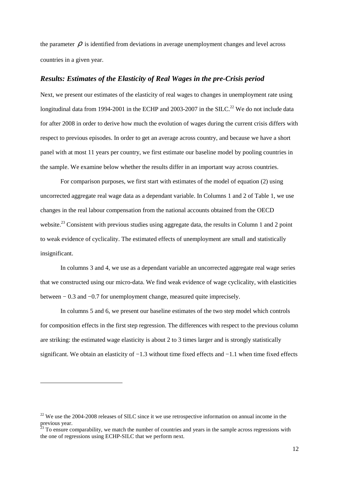the parameter  $\rho$  is identified from deviations in average unemployment changes and level across countries in a given year.

#### *Results: Estimates of the Elasticity of Real Wages in the pre-Crisis period*

Next, we present our estimates of the elasticity of real wages to changes in unemployment rate using longitudinal data from 1994-2001 in the ECHP and 2003-2007 in the SILC.<sup>22</sup> We do not include data for after 2008 in order to derive how much the evolution of wages during the current crisis differs with respect to previous episodes. In order to get an average across country, and because we have a short panel with at most 11 years per country, we first estimate our baseline model by pooling countries in the sample. We examine below whether the results differ in an important way across countries.

For comparison purposes, we first start with estimates of the model of equation (2) using uncorrected aggregate real wage data as a dependant variable. In Columns 1 and 2 of Table 1, we use changes in the real labour compensation from the national accounts obtained from the OECD website.<sup>23</sup> Consistent with previous studies using aggregate data, the results in Column 1 and 2 point to weak evidence of cyclicality. The estimated effects of unemployment are small and statistically insignificant.

In columns 3 and 4, we use as a dependant variable an uncorrected aggregate real wage series that we constructed using our micro-data. We find weak evidence of wage cyclicality, with elasticities between − 0.3 and −0.7 for unemployment change, measured quite imprecisely.

In columns 5 and 6, we present our baseline estimates of the two step model which controls for composition effects in the first step regression. The differences with respect to the previous column are striking: the estimated wage elasticity is about 2 to 3 times larger and is strongly statistically significant. We obtain an elasticity of  $-1.3$  without time fixed effects and  $-1.1$  when time fixed effects

 $^{22}$  We use the 2004-2008 releases of SILC since it we use retrospective information on annual income in the previous year.

 $23$  To ensure comparability, we match the number of countries and years in the sample across regressions with the one of regressions using ECHP-SILC that we perform next.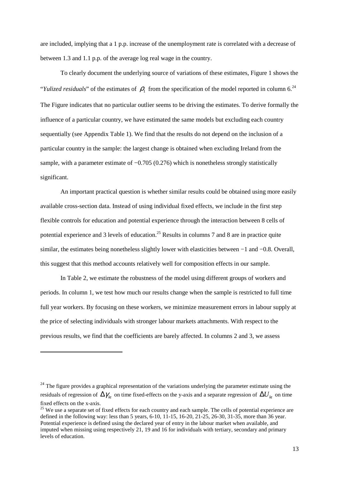are included, implying that a 1 p.p. increase of the unemployment rate is correlated with a decrease of between 1.3 and 1.1 p.p. of the average log real wage in the country.

To clearly document the underlying source of variations of these estimates, Figure 1 shows the "*Yulized residuals*" of the estimates of  $\rho_1$  from the specification of the model reported in column 6.<sup>24</sup> The Figure indicates that no particular outlier seems to be driving the estimates. To derive formally the influence of a particular country, we have estimated the same models but excluding each country sequentially (see Appendix Table 1). We find that the results do not depend on the inclusion of a particular country in the sample: the largest change is obtained when excluding Ireland from the sample, with a parameter estimate of  $-0.705$  (0.276) which is nonetheless strongly statistically significant.

An important practical question is whether similar results could be obtained using more easily available cross-section data. Instead of using individual fixed effects, we include in the first step flexible controls for education and potential experience through the interaction between 8 cells of potential experience and 3 levels of education.<sup>25</sup> Results in columns 7 and 8 are in practice quite similar, the estimates being nonetheless slightly lower with elasticities between −1 and −0.8. Overall, this suggest that this method accounts relatively well for composition effects in our sample.

In Table 2, we estimate the robustness of the model using different groups of workers and periods. In column 1, we test how much our results change when the sample is restricted to full time full year workers. By focusing on these workers, we minimize measurement errors in labour supply at the price of selecting individuals with stronger labour markets attachments. With respect to the previous results, we find that the coefficients are barely affected. In columns 2 and 3, we assess

 $^{24}$  The figure provides a graphical representation of the variations underlying the parameter estimate using the residuals of regression of  $\Delta \gamma_{kt}$  on time fixed-effects on the y-axis and a separate regression of  $\Delta U_{kt}$  on time fixed effects on the x-axis.

<sup>&</sup>lt;sup>25</sup> We use a separate set of fixed effects for each country and each sample. The cells of potential experience are defined in the following way: less than 5 years, 6-10, 11-15, 16-20, 21-25, 26-30, 31-35, more than 36 year. Potential experience is defined using the declared year of entry in the labour market when available, and imputed when missing using respectively 21, 19 and 16 for individuals with tertiary, secondary and primary levels of education.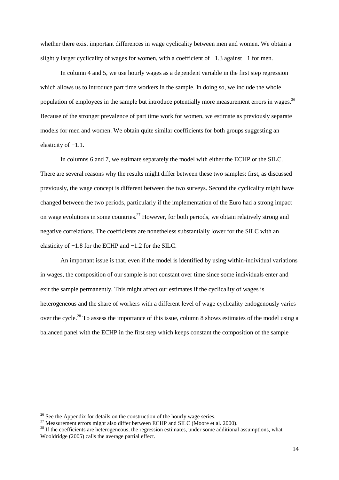whether there exist important differences in wage cyclicality between men and women. We obtain a slightly larger cyclicality of wages for women, with a coefficient of −1.3 against −1 for men.

In column 4 and 5, we use hourly wages as a dependent variable in the first step regression which allows us to introduce part time workers in the sample. In doing so, we include the whole population of employees in the sample but introduce potentially more measurement errors in wages.<sup>26</sup> Because of the stronger prevalence of part time work for women, we estimate as previously separate models for men and women. We obtain quite similar coefficients for both groups suggesting an elasticity of −1.1.

In columns 6 and 7, we estimate separately the model with either the ECHP or the SILC. There are several reasons why the results might differ between these two samples: first, as discussed previously, the wage concept is different between the two surveys. Second the cyclicality might have changed between the two periods, particularly if the implementation of the Euro had a strong impact on wage evolutions in some countries.<sup>27</sup> However, for both periods, we obtain relatively strong and negative correlations. The coefficients are nonetheless substantially lower for the SILC with an elasticity of −1.8 for the ECHP and −1.2 for the SILC.

An important issue is that, even if the model is identified by using within-individual variations in wages, the composition of our sample is not constant over time since some individuals enter and exit the sample permanently. This might affect our estimates if the cyclicality of wages is heterogeneous and the share of workers with a different level of wage cyclicality endogenously varies over the cycle.<sup>28</sup> To assess the importance of this issue, column 8 shows estimates of the model using a balanced panel with the ECHP in the first step which keeps constant the composition of the sample

 $26$  See the Appendix for details on the construction of the hourly wage series.

<sup>&</sup>lt;sup>27</sup> Measurement errors might also differ between ECHP and SILC (Moore et al. 2000).

 $28$  If the coefficients are heterogeneous, the regression estimates, under some additional assumptions, what Wooldridge (2005) calls the average partial effect.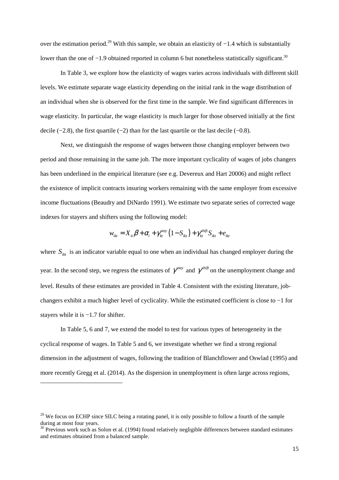over the estimation period.<sup>29</sup> With this sample, we obtain an elasticity of −1.4 which is substantially lower than the one of −1.9 obtained reported in column 6 but nonetheless statistically significant.<sup>30</sup>

In Table 3, we explore how the elasticity of wages varies across individuals with different skill levels. We estimate separate wage elasticity depending on the initial rank in the wage distribution of an individual when she is observed for the first time in the sample. We find significant differences in wage elasticity. In particular, the wage elasticity is much larger for those observed initially at the first decile (−2.8), the first quartile (−2) than for the last quartile or the last decile (−0.8).

Next, we distinguish the response of wages between those changing employer between two period and those remaining in the same job. The more important cyclicality of wages of jobs changers has been underlined in the empirical literature (see e.g. Devereux and Hart 20006) and might reflect the existence of implicit contracts insuring workers remaining with the same employer from excessive income fluctuations (Beaudry and DiNardo 1991). We estimate two separate series of corrected wage indexes for stayers and shifters using the following model:

$$
w_{ikt} = X_{it} \beta + \alpha_i + \gamma_{kt}^{stay} (1 - S_{ikt}) + \gamma_{kt}^{shift} S_{ikt} + e_{ikt}
$$

where  $S_{ik}$  is an indicator variable equal to one when an individual has changed employer during the year. In the second step, we regress the estimates of  $\gamma^{stay}$  and  $\gamma^{shift}$  on the unemployment change and level. Results of these estimates are provided in Table 4. Consistent with the existing literature, jobchangers exhibit a much higher level of cyclicality. While the estimated coefficient is close to −1 for stayers while it is −1.7 for shifter.

In Table 5, 6 and 7, we extend the model to test for various types of heterogeneity in the cyclical response of wages. In Table 5 and 6, we investigate whether we find a strong regional dimension in the adjustment of wages, following the tradition of Blanchflower and Oswlad (1995) and more recently Gregg et al. (2014). As the dispersion in unemployment is often large across regions,

<sup>&</sup>lt;sup>29</sup> We focus on ECHP since SILC being a rotating panel, it is only possible to follow a fourth of the sample during at most four years.

 $30$  Previous work such as Solon et al. (1994) found relatively negligible differences between standard estimates and estimates obtained from a balanced sample.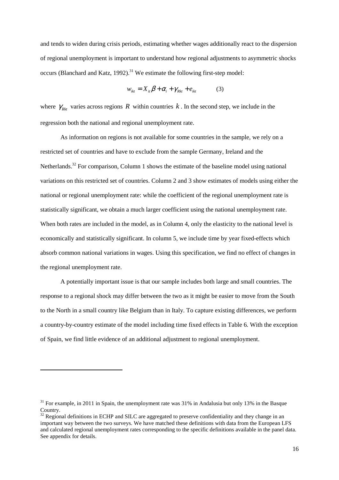and tends to widen during crisis periods, estimating whether wages additionally react to the dispersion of regional unemployment is important to understand how regional adjustments to asymmetric shocks occurs (Blanchard and Katz, 1992).<sup>31</sup> We estimate the following first-step model:

$$
w_{ikt} = X_{it}\beta + \alpha_i + \gamma_{Rkt} + e_{ikt}
$$
 (3)

where  $\gamma_{Rkt}$  varies across regions *R* within countries *k*. In the second step, we include in the regression both the national and regional unemployment rate.

As information on regions is not available for some countries in the sample, we rely on a restricted set of countries and have to exclude from the sample Germany, Ireland and the Netherlands.<sup>32</sup> For comparison, Column 1 shows the estimate of the baseline model using national variations on this restricted set of countries. Column 2 and 3 show estimates of models using either the national or regional unemployment rate: while the coefficient of the regional unemployment rate is statistically significant, we obtain a much larger coefficient using the national unemployment rate. When both rates are included in the model, as in Column 4, only the elasticity to the national level is economically and statistically significant. In column 5, we include time by year fixed-effects which absorb common national variations in wages. Using this specification, we find no effect of changes in the regional unemployment rate.

A potentially important issue is that our sample includes both large and small countries. The response to a regional shock may differ between the two as it might be easier to move from the South to the North in a small country like Belgium than in Italy. To capture existing differences, we perform a country-by-country estimate of the model including time fixed effects in Table 6. With the exception of Spain, we find little evidence of an additional adjustment to regional unemployment.

<sup>&</sup>lt;sup>31</sup> For example, in 2011 in Spain, the unemployment rate was 31% in Andalusia but only 13% in the Basque Country.

 $32$  Regional definitions in ECHP and SILC are aggregated to preserve confidentiality and they change in an important way between the two surveys. We have matched these definitions with data from the European LFS and calculated regional unemployment rates corresponding to the specific definitions available in the panel data. See appendix for details.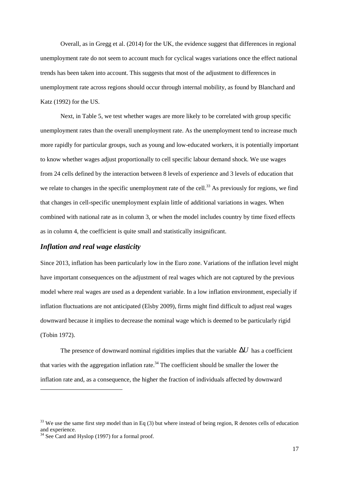Overall, as in Gregg et al. (2014) for the UK, the evidence suggest that differences in regional unemployment rate do not seem to account much for cyclical wages variations once the effect national trends has been taken into account. This suggests that most of the adjustment to differences in unemployment rate across regions should occur through internal mobility, as found by Blanchard and Katz (1992) for the US.

Next, in Table 5, we test whether wages are more likely to be correlated with group specific unemployment rates than the overall unemployment rate. As the unemployment tend to increase much more rapidly for particular groups, such as young and low-educated workers, it is potentially important to know whether wages adjust proportionally to cell specific labour demand shock. We use wages from 24 cells defined by the interaction between 8 levels of experience and 3 levels of education that we relate to changes in the specific unemployment rate of the cell.<sup>33</sup> As previously for regions, we find that changes in cell-specific unemployment explain little of additional variations in wages. When combined with national rate as in column 3, or when the model includes country by time fixed effects as in column 4, the coefficient is quite small and statistically insignificant.

#### *Inflation and real wage elasticity*

Since 2013, inflation has been particularly low in the Euro zone. Variations of the inflation level might have important consequences on the adjustment of real wages which are not captured by the previous model where real wages are used as a dependent variable. In a low inflation environment, especially if inflation fluctuations are not anticipated (Elsby 2009), firms might find difficult to adjust real wages downward because it implies to decrease the nominal wage which is deemed to be particularly rigid (Tobin 1972).

The presence of downward nominal rigidities implies that the variable ∆*U* has a coefficient that varies with the aggregation inflation rate.<sup>34</sup> The coefficient should be smaller the lower the inflation rate and, as a consequence, the higher the fraction of individuals affected by downward

<sup>&</sup>lt;sup>33</sup> We use the same first step model than in Eq (3) but where instead of being region, R denotes cells of education and experience.

<sup>&</sup>lt;sup>34</sup> See Card and Hyslop (1997) for a formal proof.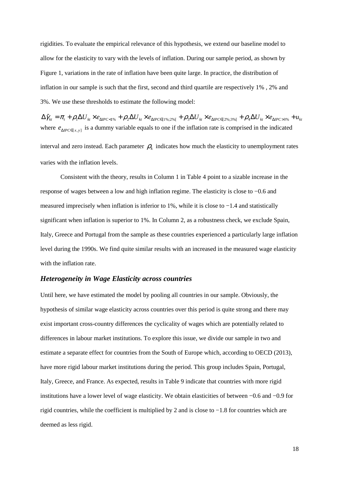rigidities. To evaluate the empirical relevance of this hypothesis, we extend our baseline model to allow for the elasticity to vary with the levels of inflation. During our sample period, as shown by Figure 1, variations in the rate of inflation have been quite large. In practice, the distribution of inflation in our sample is such that the first, second and third quartile are respectively 1% , 2% and 3%. We use these thresholds to estimate the following model:

 $\Delta \hat{\gamma}_{\scriptscriptstyle{kt}} = \pi_{\scriptscriptstyle{t}} + \rho_{\scriptscriptstyle{1}} \Delta U_{\scriptscriptstyle{k}t} \times e_{\scriptscriptstyle{\Delta IPC<1\%}} + \rho_{\scriptscriptstyle{2}} \Delta U_{\scriptscriptstyle{k}t} \times e_{\scriptscriptstyle{\Delta IPC\in[1\%;2\%[}} + \rho_{\scriptscriptstyle{3}} \Delta U_{\scriptscriptstyle{k}t} \times e_{\scriptscriptstyle{\Delta IPC<1\%}} + \rho_{\scriptscriptstyle{4}} \Delta U_{\scriptscriptstyle{k}t} \times e_{\scriptscriptstyle{\Delta IPC>3\%}} + u_{\scriptscriptstyle{k}t}$ where  $e_{\Delta P C \in [x, y]}$  is a dummy variable equals to one if the inflation rate is comprised in the indicated

interval and zero instead. Each parameter  $\rho_k$  indicates how much the elasticity to unemployment rates varies with the inflation levels.

Consistent with the theory, results in Column 1 in Table 4 point to a sizable increase in the response of wages between a low and high inflation regime. The elasticity is close to −0.6 and measured imprecisely when inflation is inferior to 1%, while it is close to −1.4 and statistically significant when inflation is superior to 1%. In Column 2, as a robustness check, we exclude Spain, Italy, Greece and Portugal from the sample as these countries experienced a particularly large inflation level during the 1990s. We find quite similar results with an increased in the measured wage elasticity with the inflation rate.

#### *Heterogeneity in Wage Elasticity across countries*

Until here, we have estimated the model by pooling all countries in our sample. Obviously, the hypothesis of similar wage elasticity across countries over this period is quite strong and there may exist important cross-country differences the cyclicality of wages which are potentially related to differences in labour market institutions. To explore this issue, we divide our sample in two and estimate a separate effect for countries from the South of Europe which, according to OECD (2013), have more rigid labour market institutions during the period. This group includes Spain, Portugal, Italy, Greece, and France. As expected, results in Table 9 indicate that countries with more rigid institutions have a lower level of wage elasticity. We obtain elasticities of between −0.6 and −0.9 for rigid countries, while the coefficient is multiplied by 2 and is close to −1.8 for countries which are deemed as less rigid.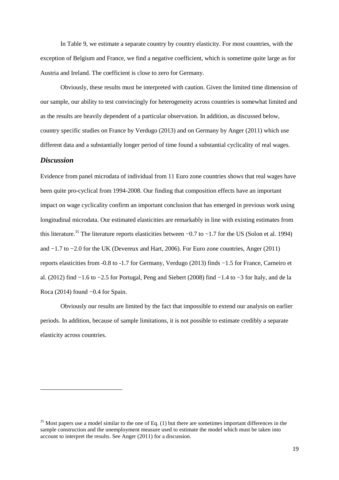In Table 9, we estimate a separate country by country elasticity. For most countries, with the exception of Belgium and France, we find a negative coefficient, which is sometime quite large as for Austria and Ireland. The coefficient is close to zero for Germany.

Obviously, these results must be interpreted with caution. Given the limited time dimension of our sample, our ability to test convincingly for heterogeneity across countries is somewhat limited and as the results are heavily dependent of a particular observation. In addition, as discussed below, country specific studies on France by Verdugo (2013) and on Germany by Anger (2011) which use different data and a substantially longer period of time found a substantial cyclicality of real wages.

#### *Discussion*

 $\overline{a}$ 

Evidence from panel microdata of individual from 11 Euro zone countries shows that real wages have been quite pro-cyclical from 1994-2008. Our finding that composition effects have an important impact on wage cyclicality confirm an important conclusion that has emerged in previous work using longitudinal microdata. Our estimated elasticities are remarkably in line with existing estimates from this literature.<sup>35</sup> The literature reports elasticities between  $-0.7$  to  $-1.7$  for the US (Solon et al. 1994) and −1.7 to −2.0 for the UK (Devereux and Hart, 2006). For Euro zone countries, Anger (2011) reports elasticities from -0.8 to -1.7 for Germany, Verdugo (2013) finds −1.5 for France, Carneiro et al. (2012) find −1.6 to −2.5 for Portugal, Peng and Siebert (2008) find −1.4 to −3 for Italy, and de la Roca (2014) found −0.4 for Spain.

Obviously our results are limited by the fact that impossible to extend our analysis on earlier periods. In addition, because of sample limitations, it is not possible to estimate credibly a separate elasticity across countries.

 $35$  Most papers use a model similar to the one of Eq. (1) but there are sometimes important differences in the sample construction and the unemployment measure used to estimate the model which must be taken into account to interpret the results. See Anger (2011) for a discussion.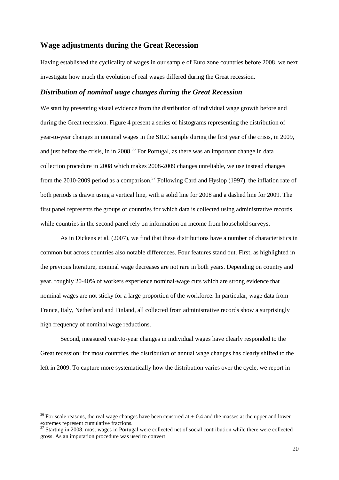## **Wage adjustments during the Great Recession**

Having established the cyclicality of wages in our sample of Euro zone countries before 2008, we next investigate how much the evolution of real wages differed during the Great recession.

#### *Distribution of nominal wage changes during the Great Recession*

We start by presenting visual evidence from the distribution of individual wage growth before and during the Great recession. Figure 4 present a series of histograms representing the distribution of year-to-year changes in nominal wages in the SILC sample during the first year of the crisis, in 2009, and just before the crisis, in in 2008.<sup>36</sup> For Portugal, as there was an important change in data collection procedure in 2008 which makes 2008-2009 changes unreliable, we use instead changes from the 2010-2009 period as a comparison.<sup>37</sup> Following Card and Hyslop (1997), the inflation rate of both periods is drawn using a vertical line, with a solid line for 2008 and a dashed line for 2009. The first panel represents the groups of countries for which data is collected using administrative records while countries in the second panel rely on information on income from household surveys.

As in Dickens et al. (2007), we find that these distributions have a number of characteristics in common but across countries also notable differences. Four features stand out. First, as highlighted in the previous literature, nominal wage decreases are not rare in both years. Depending on country and year, roughly 20-40% of workers experience nominal-wage cuts which are strong evidence that nominal wages are not sticky for a large proportion of the workforce. In particular, wage data from France, Italy, Netherland and Finland, all collected from administrative records show a surprisingly high frequency of nominal wage reductions.

Second, measured year-to-year changes in individual wages have clearly responded to the Great recession: for most countries, the distribution of annual wage changes has clearly shifted to the left in 2009. To capture more systematically how the distribution varies over the cycle, we report in

 $36$  For scale reasons, the real wage changes have been censored at  $+0.4$  and the masses at the upper and lower extremes represent cumulative fractions.

 $37$  Starting in 2008, most wages in Portugal were collected net of social contribution while there were collected gross. As an imputation procedure was used to convert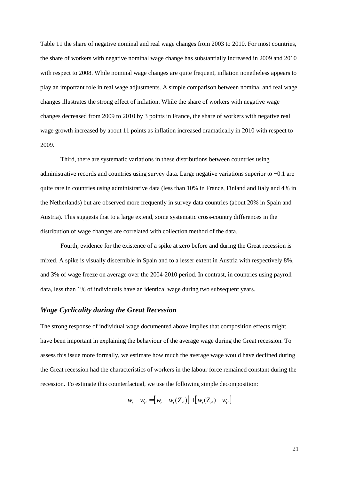Table 11 the share of negative nominal and real wage changes from 2003 to 2010. For most countries, the share of workers with negative nominal wage change has substantially increased in 2009 and 2010 with respect to 2008. While nominal wage changes are quite frequent, inflation nonetheless appears to play an important role in real wage adjustments. A simple comparison between nominal and real wage changes illustrates the strong effect of inflation. While the share of workers with negative wage changes decreased from 2009 to 2010 by 3 points in France, the share of workers with negative real wage growth increased by about 11 points as inflation increased dramatically in 2010 with respect to 2009.

Third, there are systematic variations in these distributions between countries using administrative records and countries using survey data. Large negative variations superior to −0.1 are quite rare in countries using administrative data (less than 10% in France, Finland and Italy and 4% in the Netherlands) but are observed more frequently in survey data countries (about 20% in Spain and Austria). This suggests that to a large extend, some systematic cross-country differences in the distribution of wage changes are correlated with collection method of the data.

Fourth, evidence for the existence of a spike at zero before and during the Great recession is mixed. A spike is visually discernible in Spain and to a lesser extent in Austria with respectively 8%, and 3% of wage freeze on average over the 2004-2010 period. In contrast, in countries using payroll data, less than 1% of individuals have an identical wage during two subsequent years.

#### *Wage Cyclicality during the Great Recession*

The strong response of individual wage documented above implies that composition effects might have been important in explaining the behaviour of the average wage during the Great recession. To assess this issue more formally, we estimate how much the average wage would have declined during the Great recession had the characteristics of workers in the labour force remained constant during the recession. To estimate this counterfactual, we use the following simple decomposition:

$$
w_{t} - w_{t'} = [w_{t} - w_{t}(Z_{t'})] + [w_{t}(Z_{t'}) - w_{t'}]
$$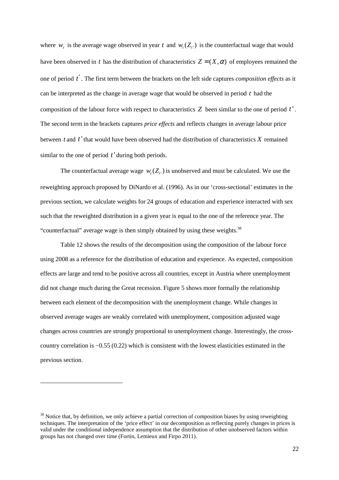where  $w_t$  is the average wage observed in year t and  $w_t(Z_t)$  is the counterfactual wage that would have been observed in *t* has the distribution of characteristics  $Z = (X, \alpha)$  of employees remained the one of period *t*′ . The first term between the brackets on the left side captures *composition effects* as it can be interpreted as the change in average wage that would be observed in period *t* had the composition of the labour force with respect to characteristics *Z* been similar to the one of period *t* ' . The second term in the brackets captures *price effects* and reflects changes in average labour price between *t* and *t* ' that would have been observed had the distribution of characteristics *X* remained similar to the one of period *t* ' during both periods.

The counterfactual average wage  $w_t(Z_t)$  is unobserved and must be calculated. We use the reweighting approach proposed by DiNardo et al. (1996). As in our 'cross-sectional' estimates in the previous section, we calculate weights for 24 groups of education and experience interacted with sex such that the reweighted distribution in a given year is equal to the one of the reference year. The "counterfactual" average wage is then simply obtained by using these weights. $38$ 

Table 12 shows the results of the decomposition using the composition of the labour force using 2008 as a reference for the distribution of education and experience. As expected, composition effects are large and tend to be positive across all countries, except in Austria where unemployment did not change much during the Great recession. Figure 5 shows more formally the relationship between each element of the decomposition with the unemployment change. While changes in observed average wages are weakly correlated with unemployment, composition adjusted wage changes across countries are strongly proportional to unemployment change. Interestingly, the crosscountry correlation is −0.55 (0.22) which is consistent with the lowest elasticities estimated in the previous section.

<sup>&</sup>lt;sup>38</sup> Notice that, by definition, we only achieve a partial correction of composition biases by using reweighting techniques. The interpretation of the 'price effect' in our decomposition as reflecting purely changes in prices is valid under the conditional independence assumption that the distribution of other unobserved factors within groups has not changed over time (Fortin, Lemieux and Firpo 2011).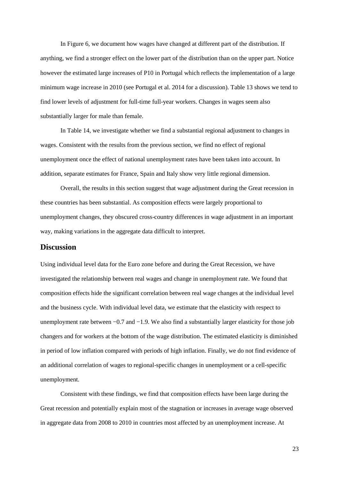In Figure 6, we document how wages have changed at different part of the distribution. If anything, we find a stronger effect on the lower part of the distribution than on the upper part. Notice however the estimated large increases of P10 in Portugal which reflects the implementation of a large minimum wage increase in 2010 (see Portugal et al. 2014 for a discussion). Table 13 shows we tend to find lower levels of adjustment for full-time full-year workers. Changes in wages seem also substantially larger for male than female.

In Table 14, we investigate whether we find a substantial regional adjustment to changes in wages. Consistent with the results from the previous section, we find no effect of regional unemployment once the effect of national unemployment rates have been taken into account. In addition, separate estimates for France, Spain and Italy show very little regional dimension.

Overall, the results in this section suggest that wage adjustment during the Great recession in these countries has been substantial. As composition effects were largely proportional to unemployment changes, they obscured cross-country differences in wage adjustment in an important way, making variations in the aggregate data difficult to interpret.

### **Discussion**

Using individual level data for the Euro zone before and during the Great Recession, we have investigated the relationship between real wages and change in unemployment rate. We found that composition effects hide the significant correlation between real wage changes at the individual level and the business cycle. With individual level data, we estimate that the elasticity with respect to unemployment rate between −0.7 and −1.9. We also find a substantially larger elasticity for those job changers and for workers at the bottom of the wage distribution. The estimated elasticity is diminished in period of low inflation compared with periods of high inflation. Finally, we do not find evidence of an additional correlation of wages to regional-specific changes in unemployment or a cell-specific unemployment.

Consistent with these findings, we find that composition effects have been large during the Great recession and potentially explain most of the stagnation or increases in average wage observed in aggregate data from 2008 to 2010 in countries most affected by an unemployment increase. At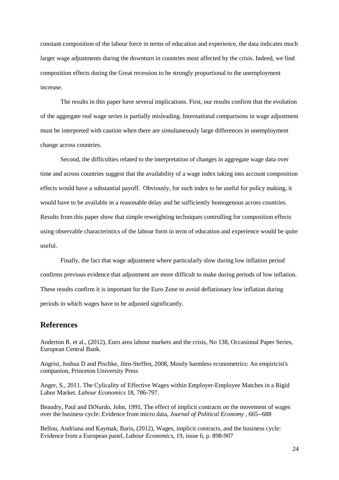constant composition of the labour force in terms of education and experience, the data indicates much larger wage adjustments during the downturn in countries most affected by the crisis. Indeed, we find composition effects during the Great recession to be strongly proportional to the unemployment increase.

The results in this paper have several implications. First, our results confirm that the evolution of the aggregate real wage series is partially misleading. International comparisons in wage adjustment must be interpreted with caution when there are simultaneously large differences in unemployment change across countries.

Second, the difficulties related to the interpretation of changes in aggregate wage data over time and across countries suggest that the availability of a wage index taking into account composition effects would have a substantial payoff. Obviously, for such index to be useful for policy making, it would have to be available in a reasonable delay and be sufficiently homogenous across countries. Results from this paper show that simple reweighting techniques controlling for composition effects using observable characteristics of the labour form in term of education and experience would be quite useful.

Finally, the fact that wage adjustment where particularly slow during low inflation period confirms previous evidence that adjustment are more difficult to make during periods of low inflation. These results confirm it is important for the Euro Zone to avoid deflationary low inflation during periods in which wages have to be adjusted significantly.

#### **References**

Anderton R. et al., (2012), Euro area labour markets and the crisis, No 138, Occasional Paper Series, European Central Bank.

Angrist, Joshua D and Pischke, Jörn-Steffen, 2008, Mostly harmless econometrics: An empiricist's companion, Princeton University Press

Anger, S., 2011. The Cylicality of Effective Wages within Employer-Employee Matches in a Rigid Labor Market. *Labour Economics* 18, 786-797.

Beaudry, Paul and DiNardo, John, 1991, The effect of implicit contracts on the movement of wages over the business cycle: Evidence from micro data, *Journal of Political Economy* , 665--688

Bellou, Andriana and Kaymak, Baris, (2012), Wages, implicit contracts, and the business cycle: Evidence from a European panel, *Labour Economics*, 19, issue 6, p. 898-907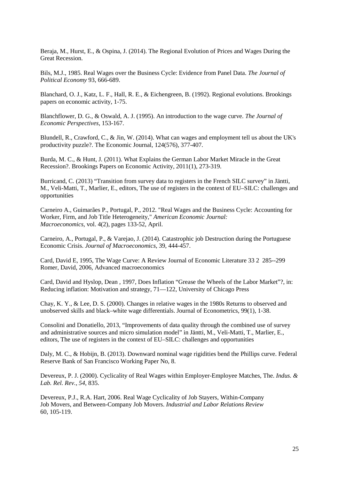Beraja, M., Hurst, E., & Ospina, J. (2014). The Regional Evolution of Prices and Wages During the Great Recession.

Bils, M.J., 1985. Real Wages over the Business Cycle: Evidence from Panel Data. *The Journal of Political Economy* 93, 666-689.

Blanchard, O. J., Katz, L. F., Hall, R. E., & Eichengreen, B. (1992). Regional evolutions. Brookings papers on economic activity, 1-75.

Blanchflower, D. G., & Oswald, A. J. (1995). An introduction to the wage curve. *The Journal of Economic Perspectives*, 153-167.

Blundell, R., Crawford, C., & Jin, W. (2014). What can wages and employment tell us about the UK's productivity puzzle?. The Economic Journal, 124(576), 377-407.

Burda, M. C., & Hunt, J. (2011). What Explains the German Labor Market Miracle in the Great Recession?. Brookings Papers on Economic Activity, 2011(1), 273-319.

Burricand, C. (2013) "Transition from survey data to registers in the French SILC survey" in Jäntti, M., Veli-Matti, T., Marlier, E., editors, The use of registers in the context of EU–SILC: challenges and opportunities

Carneiro A., Guimarães P., Portugal, P., 2012. "Real Wages and the Business Cycle: Accounting for Worker, Firm, and Job Title Heterogeneity," *American Economic Journal: Macroeconomics*, vol. 4(2), pages 133-52, April.

Carneiro, A., Portugal, P., & Varejao, J. (2014). Catastrophic job Destruction during the Portuguese Economic Crisis. *Journal of Macroeconomics*, 39, 444-457.

Card, David E, 1995, The Wage Curve: A Review Journal of Economic Literature 33 2 285--299 Romer, David, 2006, Advanced macroeconomics

Card, David and Hyslop, Dean , 1997, Does Inflation "Grease the Wheels of the Labor Market"?, in: Reducing inflation: Motivation and strategy, 71—122, University of Chicago Press

Chay, K. Y., & Lee, D. S. (2000). Changes in relative wages in the 1980s Returns to observed and unobserved skills and black–white wage differentials. Journal of Econometrics, 99(1), 1-38.

Consolini and Donatiello, 2013, "Improvements of data quality through the combined use of survey and administrative sources and micro simulation model" in Jäntti, M., Veli-Matti, T., Marlier, E., editors, The use of registers in the context of EU–SILC: challenges and opportunities

Daly, M. C., & Hobijn, B. (2013). Downward nominal wage rigidities bend the Phillips curve. Federal Reserve Bank of San Francisco Working Paper No, 8.

Devereux, P. J. (2000). Cyclicality of Real Wages within Employer-Employee Matches, The. *Indus. & Lab. Rel. Rev.*, *54*, 835.

Devereux, P.J., R.A. Hart, 2006. Real Wage Cyclicality of Job Stayers, Within-Company Job Movers, and Between-Company Job Movers. *Industrial and Labor Relations Review* 60, 105-119.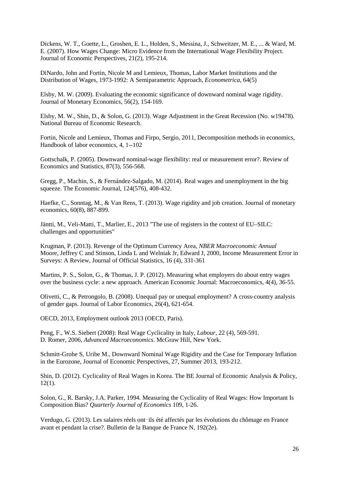Dickens, W. T., Goette, L., Groshen, E. L., Holden, S., Messina, J., Schweitzer, M. E., ... & Ward, M. E. (2007). How Wages Change: Micro Evidence from the International Wage Flexibility Project. Journal of Economic Perspectives, 21(2), 195-214.

DiNardo, John and Fortin, Nicole M and Lemieux, Thomas, Labor Market Institutions and the Distribution of Wages, 1973-1992: A Semiparametric Approach, *Econometrica*, 64(5)

Elsby, M. W. (2009). Evaluating the economic significance of downward nominal wage rigidity. Journal of Monetary Economics, 56(2), 154-169.

Elsby, M. W., Shin, D., & Solon, G. (2013). Wage Adjustment in the Great Recession (No. w19478). National Bureau of Economic Research.

Fortin, Nicole and Lemieux, Thomas and Firpo, Sergio, 2011, Decomposition methods in economics, Handbook of labor economics, 4, 1--102

Gottschalk, P. (2005). Downward nominal-wage flexibility: real or measurement error?. Review of Economics and Statistics, 87(3), 556-568.

Gregg, P., Machin, S., & Fernández‐Salgado, M. (2014). Real wages and unemployment in the big squeeze. The Economic Journal, 124(576), 408-432.

Haefke, C., Sonntag, M., & Van Rens, T. (2013). Wage rigidity and job creation. Journal of monetary economics, 60(8), 887-899.

Jäntti, M., Veli-Matti, T., Marlier, E., 2013 "The use of registers in the context of EU–SILC: challenges and opportunities"

Krugman, P. (2013). Revenge of the Optimum Currency Area, *NBER Macroeconomic Annual*  Moore, Jeffrey C and Stinson, Linda L and Welniak Jr, Edward J, 2000, Income Measurement Error in Surveys: A Review, Journal of Official Statistics, 16 (4), 331-361

Martins, P. S., Solon, G., & Thomas, J. P. (2012). Measuring what employers do about entry wages over the business cycle: a new approach. American Economic Journal: Macroeconomics, 4(4), 36-55.

Olivetti, C., & Petrongolo, B. (2008). Unequal pay or unequal employment? A cross‐country analysis of gender gaps. Journal of Labor Economics, 26(4), 621-654.

OECD, 2013, Employment outlook 2013 (OECD, Paris).

Peng, F., W.S. Siebert (2008): Real Wage Cyclicality in Italy, *Labour*, 22 (4), 569-591. D. Romer, 2006, *Advanced Macroeconomics*. McGraw Hill, New York.

Schmitt-Grohe S, Uribe M., Downward Nominal Wage Rigidity and the Case for Temporary Inflation in the Eurozone, Journal of Economic Perspectives, 27, Summer 2013, 193-212.

Shin, D. (2012). Cyclicality of Real Wages in Korea. The BE Journal of Economic Analysis & Policy,  $12(1)$ .

Solon, G., R. Barsky, J.A. Parker, 1994. Measuring the Cyclicality of Real Wages: How Important Is Composition Bias? *Quarterly Journal of Economics* 109, 1-26.

Verdugo, G. (2013). Les salaires réels ont‑ils été affectés par les évolutions du chômage en France avant et pendant la crise?. Bulletin de la Banque de France N, 192(2e).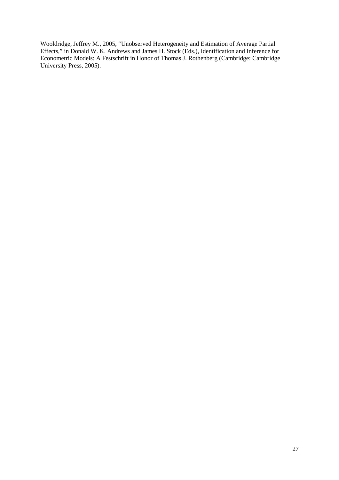Wooldridge, Jeffrey M., 2005, "Unobserved Heterogeneity and Estimation of Average Partial Effects," in Donald W. K. Andrews and James H. Stock (Eds.), Identification and Inference for Econometric Models: A Festschrift in Honor of Thomas J. Rothenberg (Cambridge: Cambridge University Press, 2005).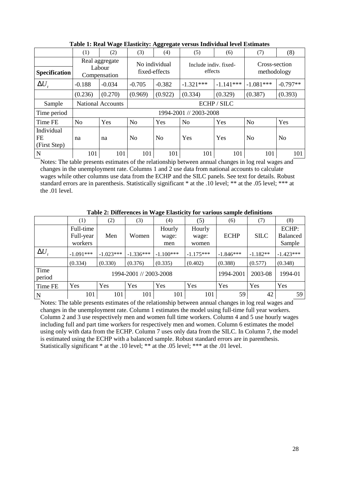|                                  | (2)<br>(1)<br>(3)                        |                          |                                | (4)            | (5)                              | (6)         | (7)                          | (8)            |
|----------------------------------|------------------------------------------|--------------------------|--------------------------------|----------------|----------------------------------|-------------|------------------------------|----------------|
| Specification                    | Real aggregate<br>Labour<br>Compensation |                          | No individual<br>fixed-effects |                | Include indiv. fixed-<br>effects |             | Cross-section<br>methodology |                |
| $\Delta U_{t}$                   | $-0.188$                                 | $-0.034$                 | $-0.705$<br>$-0.382$           |                | $-1.321***$                      | $-1.141***$ | $-1.081***$                  | $-0.797**$     |
|                                  | (0.236)                                  | (0.270)                  | (0.969)                        | (0.922)        | (0.334)                          | (0.329)     | (0.387)                      | (0.393)        |
| Sample                           |                                          | <b>National Accounts</b> |                                |                |                                  | ECHP / SILC |                              |                |
| Time period                      |                                          |                          |                                |                | 1994-2001 // 2003-2008           |             |                              |                |
| Time FE                          | N <sub>o</sub>                           | Yes                      | N <sub>o</sub>                 | Yes            | N <sub>o</sub>                   | Yes         | N <sub>o</sub>               | Yes            |
| Individual<br>FE<br>(First Step) | na                                       | na                       | N <sub>0</sub>                 | N <sub>0</sub> | Yes                              | Yes         | No                           | N <sub>o</sub> |
| $\mathbf N$                      | 101                                      | 101                      | 101                            | 101            | 101                              | 101         | 101                          | 101            |

**Table 1: Real Wage Elasticity: Aggregate versus Individual level Estimates** 

Notes: The table presents estimates of the relationship between annual changes in log real wages and changes in the unemployment rate. Columns 1 and 2 use data from national accounts to calculate wages while other columns use data from the ECHP and the SILC panels. See text for details. Robust standard errors are in parenthesis. Statistically significant \* at the .10 level; \*\*\* at the .05 level; \*\*\* at the .01 level.

|                |                                   |             |                        | · <del>ب</del> —       |                          |             |             |                                    |
|----------------|-----------------------------------|-------------|------------------------|------------------------|--------------------------|-------------|-------------|------------------------------------|
|                | (1)                               | (2)         | (3)                    | (4)                    | (5)                      | (6)         | (7)         | (8)                                |
|                | Full-time<br>Full-year<br>workers | Men         | Women                  | Hourly<br>wage:<br>men | Hourly<br>wage:<br>women | <b>ECHP</b> | <b>SILC</b> | ECHP:<br><b>Balanced</b><br>Sample |
| $\Delta U$ ,   | $-1.091***$                       | $-1.023***$ | $-1.336***$            | $-1.100***$            | $-1.175***$              | $-1.846***$ | $-1.182**$  | $-1.423***$                        |
|                | (0.334)                           | (0.330)     | (0.376)                | (0.335)                | (0.402)                  | (0.388)     | (0.577)     | (0.348)                            |
| Time<br>period |                                   |             | 1994-2001 // 2003-2008 | 1994-2001              | 2003-08                  | 1994-01     |             |                                    |
| Time FE        | Yes                               | Yes         | Yes                    | Yes                    | Yes                      | Yes         | Yes         | Yes                                |
| N              | 101<br>101                        |             | 101                    | 101                    | 101                      | 59          | 42          | 59                                 |

**Table 2: Differences in Wage Elasticity for various sample definitions** 

Notes: The table presents estimates of the relationship between annual changes in log real wages and changes in the unemployment rate. Column 1 estimates the model using full-time full year workers. Column 2 and 3 use respectively men and women full time workers. Column 4 and 5 use hourly wages including full and part time workers for respectively men and women. Column 6 estimates the model using only with data from the ECHP. Column 7 uses only data from the SILC. In Column 7, the model is estimated using the ECHP with a balanced sample. Robust standard errors are in parenthesis. Statistically significant \* at the .10 level; \*\* at the .05 level; \*\*\* at the .01 level.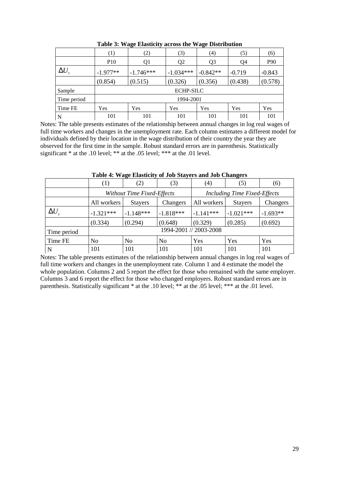|                         | (1)        | (2)         |                  | (4)            | (5)      | (6)      |
|-------------------------|------------|-------------|------------------|----------------|----------|----------|
|                         | <b>P10</b> | Q1          | Q <sub>2</sub>   | Q <sub>3</sub> | Q4       | P90      |
| $\Delta U$              | $-1.977**$ | $-1.746***$ | $-1.034***$      | $-0.842**$     | $-0.719$ | $-0.843$ |
|                         | (0.854)    | (0.515)     | (0.326)          | (0.356)        | (0.438)  | (0.578)  |
| Sample                  |            |             | <b>ECHP-SILC</b> |                |          |          |
| Time period             |            |             | 1994-2001        |                |          |          |
| Time FE                 | Yes        | Yes         |                  | Yes<br>Yes     |          | Yes      |
| $\overline{\mathsf{N}}$ | 101        | 101         | 101              | 101            | 101      | 101      |

**Table 3: Wage Elasticity across the Wage Distribution**

Notes: The table presents estimates of the relationship between annual changes in log real wages of full time workers and changes in the unemployment rate. Each column estimates a different model for individuals defined by their location in the wage distribution of their country the year they are observed for the first time in the sample. Robust standard errors are in parenthesis. Statistically significant \* at the .10 level; \*\* at the .05 level; \*\*\* at the .01 level.

|             | $\left( 1\right)$ | (2)                        | (3)            | $\left( 4\right)$                   | (5)            | (6)        |  |
|-------------|-------------------|----------------------------|----------------|-------------------------------------|----------------|------------|--|
|             |                   | Without Time Fixed-Effects |                | <b>Including Time Fixed-Effects</b> |                |            |  |
|             | All workers       | <b>Stayers</b>             | Changers       | All workers                         | <b>Stayers</b> | Changers   |  |
| $\Delta U$  | $-1.321***$       | $-1.148***$                | $-1.818***$    | $-1.141***$                         | $-1.021***$    | $-1.693**$ |  |
|             | (0.334)           | (0.294)                    | (0.648)        | (0.329)                             | (0.285)        | (0.692)    |  |
| Time period |                   |                            |                | 1994-2001 // 2003-2008              |                |            |  |
| Time FE     | No                | N <sub>o</sub>             | N <sub>0</sub> | Yes                                 | Yes            | Yes        |  |
| l N         | 101               | 101                        | 101            | 101                                 | 101            | 101        |  |

**Table 4: Wage Elasticity of Job Stayers and Job Changers** 

Notes: The table presents estimates of the relationship between annual changes in log real wages of full time workers and changes in the unemployment rate. Column 1 and 4 estimate the model the whole population. Columns 2 and 5 report the effect for those who remained with the same employer. Columns 3 and 6 report the effect for those who changed employers. Robust standard errors are in parenthesis. Statistically significant \* at the .10 level; \*\* at the .05 level; \*\*\* at the .01 level.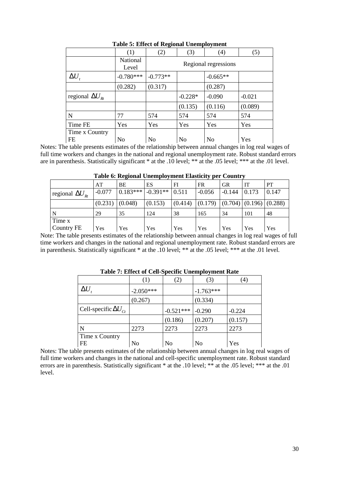|                          | (1)                      | (2)                  | (3)       | (4)        | (5)      |  |  |  |  |
|--------------------------|--------------------------|----------------------|-----------|------------|----------|--|--|--|--|
|                          | <b>National</b><br>Level | Regional regressions |           |            |          |  |  |  |  |
| $\Delta U_{t}$           | $-0.780***$              | $-0.773**$           |           | $-0.665**$ |          |  |  |  |  |
|                          | (0.282)                  | (0.317)              |           | (0.287)    |          |  |  |  |  |
| regional $\Delta U_{Rt}$ |                          |                      | $-0.228*$ | $-0.090$   | $-0.021$ |  |  |  |  |
|                          |                          |                      | (0.135)   | (0.116)    | (0.089)  |  |  |  |  |
| N                        | 77                       | 574                  | 574       | 574        | 574      |  |  |  |  |
| Time FE                  | Yes                      | Yes                  | Yes       | Yes        | Yes      |  |  |  |  |
| Time x Country<br>FE     | No                       | N <sub>o</sub>       | No        | No         | Yes      |  |  |  |  |

**Table 5: Effect of Regional Unemployment** 

Notes: The table presents estimates of the relationship between annual changes in log real wages of full time workers and changes in the national and regional unemployment rate. Robust standard errors are in parenthesis. Statistically significant \* at the .10 level; \*\* at the .05 level; \*\*\* at the .01 level.

|                          | -- <b>--</b> -      |                                       |         |         |                                                           |           |           |           |  |  |  |
|--------------------------|---------------------|---------------------------------------|---------|---------|-----------------------------------------------------------|-----------|-----------|-----------|--|--|--|
|                          | AT                  | BE                                    | ES      | FI      | <b>FR</b>                                                 | <b>GR</b> | <b>IT</b> | <b>PT</b> |  |  |  |
| regional $\Delta U_{Rt}$ | $-0.077$            | $\vert 0.183*** \vert 0.391*** \vert$ |         | 0.511   | $-0.056$                                                  | $-0.144$  | 0.173     | 0.147     |  |  |  |
|                          | $(0.231)$ $(0.048)$ |                                       | (0.153) | (0.414) | $\vert (0.179) \vert (0.704) \vert (0.196) \vert (0.288)$ |           |           |           |  |  |  |
| N                        | 29                  | 35                                    | 124     | 38      | 165                                                       | 34        | 101       | 48        |  |  |  |
| Time x                   |                     |                                       |         |         |                                                           |           |           |           |  |  |  |
| Country FE               | Yes                 | Yes                                   | Yes     | Yes     | Yes                                                       | Yes       | Yes       | Yes       |  |  |  |

**Table 6: Regional Unemployment Elasticity per Country** 

Note: The table presents estimates of the relationship between annual changes in log real wages of full time workers and changes in the national and regional unemployment rate. Robust standard errors are in parenthesis. Statistically significant \* at the .10 level; \*\* at the .05 level; \*\*\* at the .01 level.

| Table 7. Effect of Cen-Specific Unemployment Nate |                   |             |             |          |  |  |  |  |  |  |
|---------------------------------------------------|-------------------|-------------|-------------|----------|--|--|--|--|--|--|
|                                                   | $\left( 1\right)$ | (2)         | (3)         | (4)      |  |  |  |  |  |  |
| $\Delta U$                                        | $-2.050***$       |             | $-1.763***$ |          |  |  |  |  |  |  |
|                                                   | (0.267)           |             | (0.334)     |          |  |  |  |  |  |  |
| Cell-specific $\Delta U_{C}$                      |                   | $-0.521***$ | $-0.290$    | $-0.224$ |  |  |  |  |  |  |
|                                                   |                   | (0.186)     | (0.207)     | (0.157)  |  |  |  |  |  |  |
| N                                                 | 2273              | 2273        | 2273        | 2273     |  |  |  |  |  |  |
| Time x Country<br><b>FE</b>                       | No                | No          | No          | Yes      |  |  |  |  |  |  |

**Table 7: Effect of Cell-Specific Unemployment Rate** 

Notes: The table presents estimates of the relationship between annual changes in log real wages of full time workers and changes in the national and cell-specific unemployment rate. Robust standard errors are in parenthesis. Statistically significant \* at the .10 level; \*\* at the .05 level; \*\*\* at the .01 level.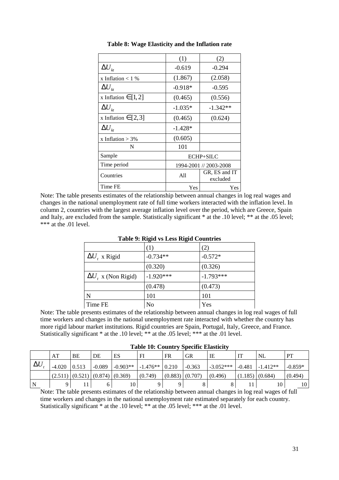|                                          | (1)       | (2)                       |  |  |
|------------------------------------------|-----------|---------------------------|--|--|
| $\Delta U_{k}$                           | $-0.619$  | $-0.294$                  |  |  |
| x Inflation $< 1$ %                      | (1.867)   | (2.058)                   |  |  |
| $\Delta U_{\scriptscriptstyle k\bar{t}}$ | $-0.918*$ | $-0.595$                  |  |  |
| x Inflation $\in$ [1, 2]                 | (0.465)   | (0.556)                   |  |  |
| $\Delta U_{k}$                           | $-1.035*$ | $-1.342**$                |  |  |
| x Inflation $\in$ [2,3]                  | (0.465)   | (0.624)                   |  |  |
| $\Delta U_{k}$                           | $-1.428*$ |                           |  |  |
| x Inflation $> 3\%$                      | (0.605)   |                           |  |  |
| N                                        | 101       |                           |  |  |
| Sample                                   |           | ECHP+SILC                 |  |  |
| Time period                              |           | 1994-2001 // 2003-2008    |  |  |
| Countries                                | A11       | GR, ES and IT<br>excluded |  |  |
| Time FE                                  | Yes       | Yes                       |  |  |

**Table 8: Wage Elasticity and the Inflation rate** 

Note: The table presents estimates of the relationship between annual changes in log real wages and changes in the national unemployment rate of full time workers interacted with the inflation level. In column 2, countries with the largest average inflation level over the period, which are Greece, Spain and Italy, are excluded from the sample. Statistically significant \* at the .10 level; \*\* at the .05 level; \*\*\* at the .01 level.

|                            | 0<br>$\epsilon$ |             |
|----------------------------|-----------------|-------------|
|                            | (1)             | (2)         |
| $\Delta U$ , x Rigid       | $-0.734**$      | $-0.572*$   |
|                            | (0.320)         | (0.326)     |
| $\Delta U$ , x (Non Rigid) | $-1.920***$     | $-1.793***$ |
|                            | (0.478)         | (0.473)     |
| N                          | 101             | 101         |
| Time FE                    | No              | Yes         |

**Table 9: Rigid vs Less Rigid Countries**

Note: The table presents estimates of the relationship between annual changes in log real wages of full time workers and changes in the national unemployment rate interacted with whether the country has more rigid labour market institutions. Rigid countries are Spain, Portugal, Italy, Greece, and France. Statistically significant \* at the .10 level; \*\*\* at the .05 level; \*\*\* at the .01 level.

| <b>Table 10: Country Specific Elasticity</b> |  |
|----------------------------------------------|--|
|----------------------------------------------|--|

|            | AT       | BE    | DE                                    | ES         | $_{\rm FI}$      | FR              | <b>GR</b> | IE          |          | NL         | PT        |
|------------|----------|-------|---------------------------------------|------------|------------------|-----------------|-----------|-------------|----------|------------|-----------|
| $\Delta U$ | $-4.020$ | 0.513 | $-0.089$                              | $-0.903**$ | $-1.476**$ 0.210 |                 | $-0.363$  | $-3.052***$ | $-0.481$ | $-1.412**$ | $-0.859*$ |
|            |          |       | (2.511)   (0.521)   (0.874)   (0.369) |            | (0.749)          | (0.883) (0.707) |           | (0.496)     | (1.185)  | (0.684)    | (0.494)   |
| N          |          |       |                                       |            |                  |                 |           |             |          | 10         | 10        |

Note: The table presents estimates of the relationship between annual changes in log real wages of full time workers and changes in the national unemployment rate estimated separately for each country. Statistically significant \* at the .10 level; \*\* at the .05 level; \*\*\* at the .01 level.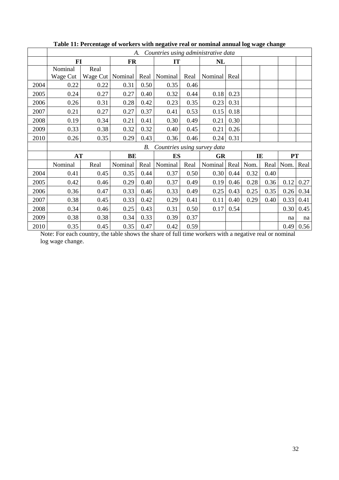|      |           |                    |           |            |                             |      |           |      | Countries using administrative data<br>А. |      |           |      |  |  |  |  |  |  |  |  |
|------|-----------|--------------------|-----------|------------|-----------------------------|------|-----------|------|-------------------------------------------|------|-----------|------|--|--|--|--|--|--|--|--|
|      | $FI$      |                    | <b>FR</b> |            |                             | IT   |           |      |                                           |      |           |      |  |  |  |  |  |  |  |  |
|      | Nominal   | Real               |           |            |                             |      |           |      |                                           |      |           |      |  |  |  |  |  |  |  |  |
|      | Wage Cut  | Wage Cut   Nominal |           | Real       | Nominal                     | Real | Nominal   | Real |                                           |      |           |      |  |  |  |  |  |  |  |  |
| 2004 | 0.22      | 0.22               | 0.31      | 0.50       | 0.35                        | 0.46 |           |      |                                           |      |           |      |  |  |  |  |  |  |  |  |
| 2005 | 0.24      | 0.27               | 0.27      | 0.40       | 0.32                        | 0.44 | 0.18      | 0.23 |                                           |      |           |      |  |  |  |  |  |  |  |  |
| 2006 | 0.26      | 0.31               | 0.28      | 0.42       | 0.23                        | 0.35 | 0.23      | 0.31 |                                           |      |           |      |  |  |  |  |  |  |  |  |
| 2007 | 0.21      | 0.27               | 0.27      | 0.37       | 0.41                        | 0.53 | 0.15      | 0.18 |                                           |      |           |      |  |  |  |  |  |  |  |  |
| 2008 | 0.19      | 0.34               | 0.21      | 0.41       | 0.30                        | 0.49 | 0.21      | 0.30 |                                           |      |           |      |  |  |  |  |  |  |  |  |
| 2009 | 0.33      | 0.38               | 0.32      | 0.32       | 0.40                        | 0.45 | 0.21      | 0.26 |                                           |      |           |      |  |  |  |  |  |  |  |  |
| 2010 | 0.26      | 0.35               | 0.29      | 0.43       | 0.36                        | 0.46 | 0.24      | 0.31 |                                           |      |           |      |  |  |  |  |  |  |  |  |
|      |           |                    |           | <i>B</i> . | Countries using survey data |      |           |      |                                           |      |           |      |  |  |  |  |  |  |  |  |
|      | <b>AT</b> |                    | BE        |            | <b>ES</b>                   |      | <b>GR</b> |      | IE                                        |      | PT        |      |  |  |  |  |  |  |  |  |
|      | Nominal   | Real               | Nominal   | Real       | Nominal                     | Real | Nominal   | Real | Nom.                                      |      | Real Nom. | Real |  |  |  |  |  |  |  |  |
| 2004 | 0.41      | 0.45               | 0.35      | 0.44       | 0.37                        | 0.50 | 0.30      | 0.44 | 0.32                                      | 0.40 |           |      |  |  |  |  |  |  |  |  |
| 2005 | 0.42      | 0.46               | 0.29      | 0.40       | 0.37                        | 0.49 | 0.19      | 0.46 | 0.28                                      | 0.36 | 0.12      | 0.27 |  |  |  |  |  |  |  |  |
| 2006 | 0.36      | 0.47               | 0.33      | 0.46       | 0.33                        | 0.49 | 0.25      | 0.43 | 0.25                                      | 0.35 | 0.26      | 0.34 |  |  |  |  |  |  |  |  |
| 2007 | 0.38      | 0.45               | 0.33      | 0.42       | 0.29                        | 0.41 | 0.11      | 0.40 | 0.29                                      | 0.40 | 0.33      | 0.41 |  |  |  |  |  |  |  |  |
| 2008 | 0.34      | 0.46               | 0.25      | 0.43       | 0.31                        | 0.50 | 0.17      | 0.54 |                                           |      | 0.30      | 0.45 |  |  |  |  |  |  |  |  |
| 2009 | 0.38      | 0.38               | 0.34      | 0.33       | 0.39                        | 0.37 |           |      |                                           |      | na        | na   |  |  |  |  |  |  |  |  |
| 2010 | 0.35      | 0.45               | 0.35      | 0.47       | 0.42                        | 0.59 |           |      |                                           |      | 0.49      | 0.56 |  |  |  |  |  |  |  |  |

**Table 11: Percentage of workers with negative real or nominal annual log wage change**

Note: For each country, the table shows the share of full time workers with a negative real or nominal log wage change.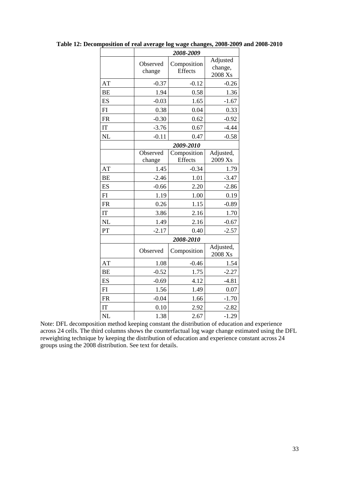|           |                    | 2008-2009                     |                                |  |  |  |  |
|-----------|--------------------|-------------------------------|--------------------------------|--|--|--|--|
|           | Observed<br>change | Composition<br>Effects        | Adjusted<br>change,<br>2008 Xs |  |  |  |  |
| AT        | $-0.37$            | $-0.12$                       | $-0.26$                        |  |  |  |  |
| <b>BE</b> | 1.94               | 0.58                          | 1.36                           |  |  |  |  |
| ES        | $-0.03$            | 1.65                          | $-1.67$                        |  |  |  |  |
| FI        | 0.38               | 0.04                          | 0.33                           |  |  |  |  |
| <b>FR</b> | $-0.30$            | 0.62                          | $-0.92$                        |  |  |  |  |
| IT        | $-3.76$            | 0.67                          | $-4.44$                        |  |  |  |  |
| <b>NL</b> | $-0.11$            | 0.47                          | $-0.58$                        |  |  |  |  |
|           |                    | 2009-2010                     |                                |  |  |  |  |
|           | Observed<br>change | Composition<br><b>Effects</b> | Adjusted,<br>2009 Xs           |  |  |  |  |
| AT        | 1.45               | $-0.34$                       | 1.79                           |  |  |  |  |
| <b>BE</b> | $-2.46$            | 1.01                          | $-3.47$                        |  |  |  |  |
| ES        | $-0.66$            | 2.20                          | $-2.86$                        |  |  |  |  |
| FI        | 1.19               | 1.00                          | 0.19                           |  |  |  |  |
| <b>FR</b> | 0.26               | 1.15                          | $-0.89$                        |  |  |  |  |
| IT        | 3.86               | 2.16                          | 1.70                           |  |  |  |  |
| <b>NL</b> | 1.49               | 2.16                          | $-0.67$                        |  |  |  |  |
| PT        | $-2.17$            | 0.40                          | $-2.57$                        |  |  |  |  |
|           |                    | 2008-2010                     |                                |  |  |  |  |
|           | Observed           | Composition                   | Adjusted,<br>2008 Xs           |  |  |  |  |
| AT        | 1.08               | $-0.46$                       | 1.54                           |  |  |  |  |
| <b>BE</b> | $-0.52$            | 1.75                          | $-2.27$                        |  |  |  |  |
| ES        | $-0.69$            | 4.12                          | $-4.81$                        |  |  |  |  |
| FI        | 1.56               | 1.49                          | 0.07                           |  |  |  |  |
| <b>FR</b> | $-0.04$            | 1.66                          | $-1.70$                        |  |  |  |  |
| IT        | 0.10               | 2.92                          | $-2.82$                        |  |  |  |  |
| NL        | 1.38               | 2.67                          | $-1.29$                        |  |  |  |  |

**Table 12: Decomposition of real average log wage changes, 2008-2009 and 2008-2010** 

Note: DFL decomposition method keeping constant the distribution of education and experience across 24 cells. The third columns shows the counterfactual log wage change estimated using the DFL reweighting technique by keeping the distribution of education and experience constant across 24 groups using the 2008 distribution. See text for details.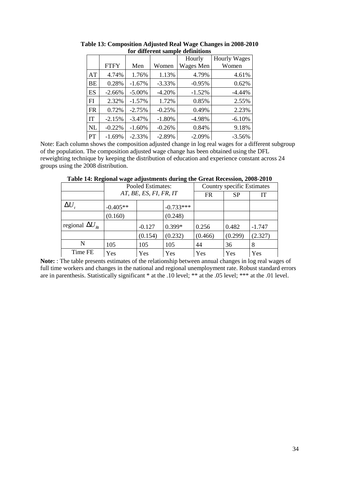| гог ангегене запіріс аспінсіонэ |             |           |          |           |                     |  |  |  |
|---------------------------------|-------------|-----------|----------|-----------|---------------------|--|--|--|
|                                 |             |           |          | Hourly    | <b>Hourly Wages</b> |  |  |  |
|                                 | <b>FTFY</b> | Men       | Women    | Wages Men | Women               |  |  |  |
| AT                              | 4.74%       | 1.76%     | 1.13%    | 4.79%     | 4.61%               |  |  |  |
| <b>BE</b>                       | 0.28%       | $-1.67%$  | $-3.33%$ | $-0.95%$  | 0.62%               |  |  |  |
| ES                              | $-2.66%$    | $-5.00\%$ | $-4.20%$ | $-1.52%$  | $-4.44%$            |  |  |  |
| FI                              | 2.32%       | $-1.57\%$ | 1.72%    | 0.85%     | 2.55%               |  |  |  |
| <b>FR</b>                       | 0.72%       | $-2.75%$  | $-0.25%$ | 0.49%     | 2.23%               |  |  |  |
| IT                              | $-2.15%$    | $-3.47%$  | $-1.80%$ | $-4.98%$  | $-6.10%$            |  |  |  |
| NL                              | $-0.22%$    | $-1.60%$  | $-0.26%$ | 0.84%     | 9.18%               |  |  |  |
| <b>PT</b>                       | $-1.69%$    | $-2.33%$  | $-2.89%$ | $-2.09%$  | $-3.56%$            |  |  |  |

**Table 13: Composition Adjusted Real Wage Changes in 2008-2010 for different sample definitions** 

Note: Each column shows the composition adjusted change in log real wages for a different subgroup of the population. The composition adjusted wage change has been obtained using the DFL reweighting technique by keeping the distribution of education and experience constant across 24 groups using the 2008 distribution.

|                          |                        | Pooled Estimates: |             | Country specific Estimates |           |          |  |
|--------------------------|------------------------|-------------------|-------------|----------------------------|-----------|----------|--|
|                          | AT, BE, ES, FI, FR, IT |                   |             | <b>FR</b>                  | <b>SP</b> | IT       |  |
| $\Delta U$               | $-0.405**$             |                   | $-0.733***$ |                            |           |          |  |
|                          | (0.160)                |                   | (0.248)     |                            |           |          |  |
| regional $\Delta U_{Rt}$ |                        | $-0.127$          | $0.399*$    | 0.256                      | 0.482     | $-1.747$ |  |
|                          |                        | (0.154)           | (0.232)     | (0.466)                    | (0.299)   | (2.327)  |  |
| N                        | 105                    | 105               | 105         | 44                         | 36        | 8        |  |
| Time FE                  | Yes                    | Yes               | Yes         | Yes                        | Yes       | Yes      |  |

**Table 14: Regional wage adjustments during the Great Recession, 2008-2010** 

**Note:** : The table presents estimates of the relationship between annual changes in log real wages of full time workers and changes in the national and regional unemployment rate. Robust standard errors are in parenthesis. Statistically significant \* at the .10 level; \*\* at the .05 level; \*\*\* at the .01 level.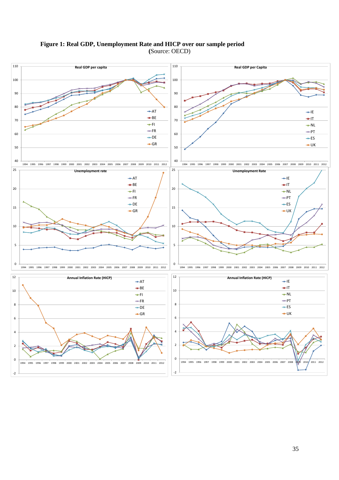



35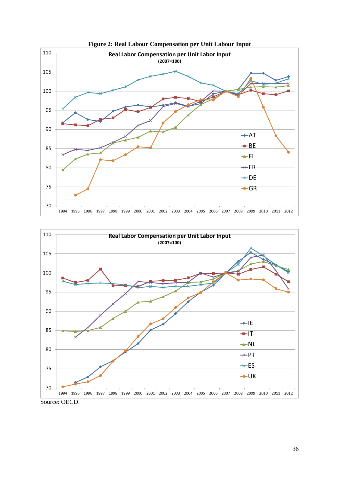



**Figure 2: Real Labour Compensation per Unit Labour Input**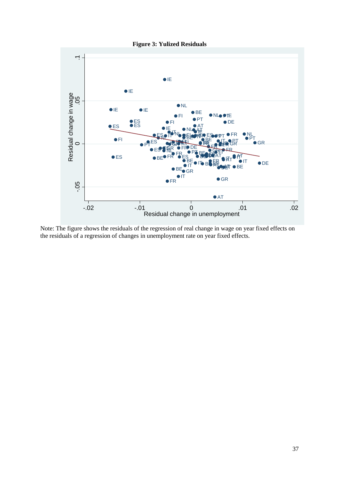

Note: The figure shows the residuals of the regression of real change in wage on year fixed effects on the residuals of a regression of changes in unemployment rate on year fixed effects.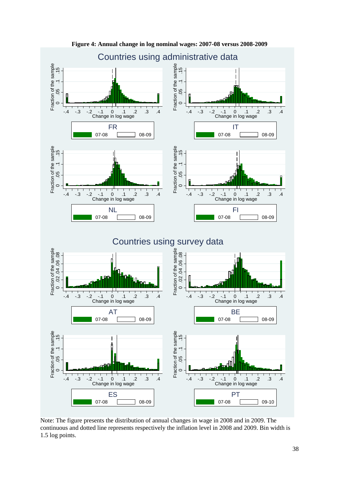

**Figure 4: Annual change in log nominal wages: 2007-08 versus 2008-2009** 

Note: The figure presents the distribution of annual changes in wage in 2008 and in 2009. The continuous and dotted line represents respectively the inflation level in 2008 and 2009. Bin width is 1.5 log points.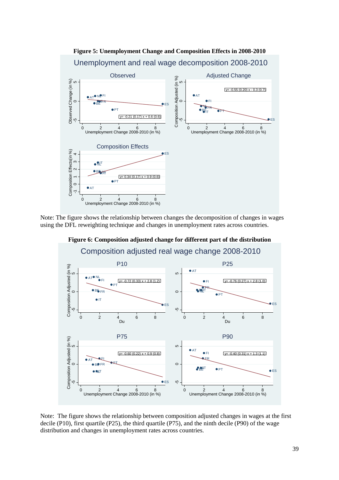

Note: The figure shows the relationship between changes the decomposition of changes in wages using the DFL reweighting technique and changes in unemployment rates across countries.



**Figure 6: Composition adjusted change for different part of the distribution** 

Note: The figure shows the relationship between composition adjusted changes in wages at the first decile (P10), first quartile (P25), the third quartile (P75), and the ninth decile (P90) of the wage distribution and changes in unemployment rates across countries.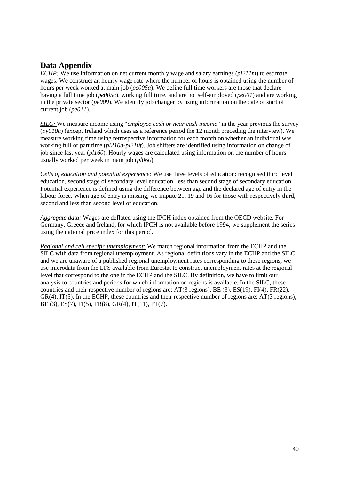## **Data Appendix**

*ECHP:* We use information on net current monthly wage and salary earnings (*pi211m*) to estimate wages. We construct an hourly wage rate where the number of hours is obtained using the number of hours per week worked at main job (*pe005a*). We define full time workers are those that declare having a full time job (*pe005c*), working full time, and are not self-employed (*pe001*) and are working in the private sector (*pe009*). We identify job changer by using information on the date of start of current job (*pe011*).

*SILC:* We measure income using "*employee cash or near cash income*" in the year previous the survey  $(pv010n)$  (except Ireland which uses as a reference period the 12 month preceding the interview). We measure working time using retrospective information for each month on whether an individual was working full or part time (*pl210a-pl210f*). Job shifters are identified using information on change of job since last year (*pl160*). Hourly wages are calculated using information on the number of hours usually worked per week in main job (*pl060*).

*Cells of education and potential experience:* We use three levels of education: recognised third level education, second stage of secondary level education, less than second stage of secondary education. Potential experience is defined using the difference between age and the declared age of entry in the labour force. When age of entry is missing, we impute 21, 19 and 16 for those with respectively third, second and less than second level of education.

*Aggregate data:* Wages are deflated using the IPCH index obtained from the OECD website. For Germany, Greece and Ireland, for which IPCH is not available before 1994, we supplement the series using the national price index for this period.

*Regional and cell specific unemployment:* We match regional information from the ECHP and the SILC with data from regional unemployment. As regional definitions vary in the ECHP and the SILC and we are unaware of a published regional unemployment rates corresponding to these regions, we use microdata from the LFS available from Eurostat to construct unemployment rates at the regional level that correspond to the one in the ECHP and the SILC. By definition, we have to limit our analysis to countries and periods for which information on regions is available. In the SILC, these countries and their respective number of regions are: AT(3 regions), BE (3), ES(19), FI(4), FR(22), GR(4), IT(5). In the ECHP, these countries and their respective number of regions are: AT(3 regions), BE (3), ES(7), FI(5), FR(8), GR(4), IT(11), PT(7).